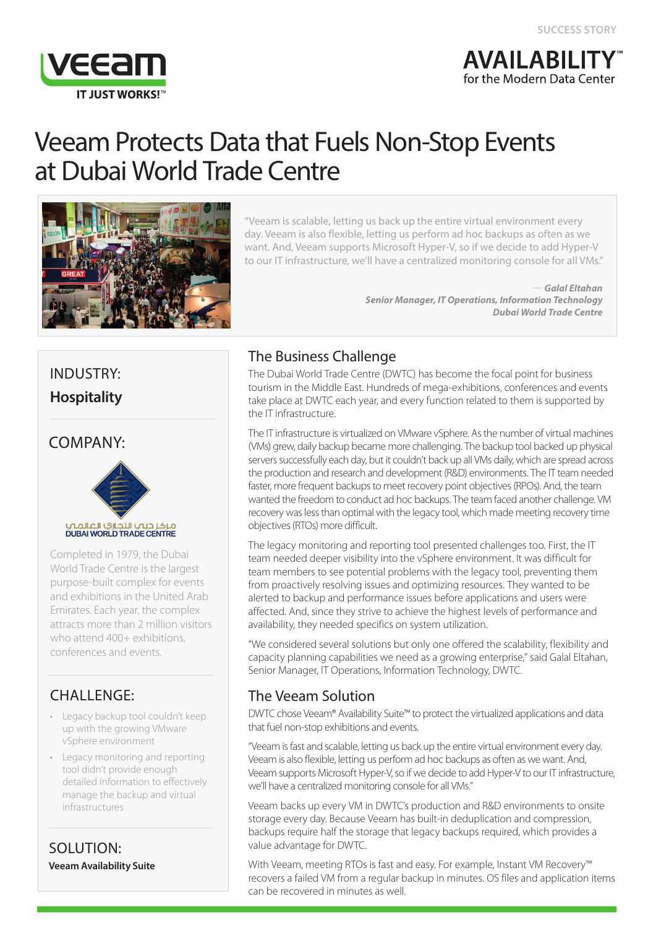

# **AVAILABILIT** for the Modern Data Center

# Veeam Protects Data that Fuels Non-Stop Events at Dubai World Trade Centre



"Veeam is scalable, letting us back up the entire virtual environment every day. Veeam is also flexible, letting us perform ad hoc backups as often as we want. And, Veeam supports Microsoft Hyper-V, so if we decide to add Hyper-V to our IT infrastructure, we'll have a centralized monitoring console for all VMs."

> — *Galal EItahan Senior Manager, IT Operations, Information Technology Dubai World Trade Centre*

# INDUSTRY: **Hospitality**

## COMPANY:



Completed in 1979, the Dubai World Trade Centre is the largest purpose-built complex for events and exhibitions in the United Arab Emirates. Each year, the complex attracts more than 2 million visitors who attend 400+ exhibitions. conferences and events.

# CHALLENGE:

- Legacy backup tool couldn't keep up with the growing VMware vSphere environment
- Legacy monitoring and reporting tool didn't provide enough detailed information to effectively manage the backup and virtual infrastructures

SOLUTION: **Veeam Availability Suite**

# The Business Challenge

The Dubai World Trade Centre (DWTC) has become the focal point for business tourism in the Middle East. Hundreds of mega-exhibitions, conferences and events take place at DWTC each year, and every function related to them is supported by the IT infrastructure.

The IT infrastructure is virtualized on VMware vSphere. As the number of virtual machines (VMs) grew, daily backup became more challenging. The backup tool backed up physical servers successfully each day, but it couldn't back up all VMs daily, which are spread across the production and research and development (R&D) environments. The IT team needed faster, more frequent backups to meet recovery point objectives (RPOs). And, the team wanted the freedom to conduct ad hoc backups. The team faced another challenge. VM recovery was less than optimal with the legacy tool, which made meeting recovery time objectives (RTOs) more difficult.

The legacy monitoring and reporting tool presented challenges too. First, the IT team needed deeper visibility into the vSphere environment. It was difficult for team members to see potential problems with the legacy tool, preventing them from proactively resolving issues and optimizing resources. They wanted to be alerted to backup and performance issues before applications and users were affected. And, since they strive to achieve the highest levels of performance and availability, they needed specifics on system utilization.

"We considered several solutions but only one offered the scalability, flexibility and capacity planning capabilities we need as a growing enterprise," said Galal Eltahan, Senior Manager, IT Operations, Information Technology, DWTC.

# The Veeam Solution

DWTC chose Veeam® Availability Suite™ to protect the virtualized applications and data that fuel non-stop exhibitions and events.

"Veeam is fast and scalable, letting us back up the entire virtual environment every day. Veeam is also flexible, letting us perform ad hoc backups as often as we want. And, Veeam supports Microsoft Hyper-V, so if we decide to add Hyper-V to our IT infrastructure, we'll have a centralized monitoring console for all VMs."

Veeam backs up every VM in DWTC's production and R&D environments to onsite storage every day. Because Veeam has built-in deduplication and compression, backups require half the storage that legacy backups required, which provides a value advantage for DWTC.

With Veeam, meeting RTOs is fast and easy. For example, Instant VM Recovery™ recovers a failed VM from a regular backup in minutes. OS files and application items can be recovered in minutes as well.